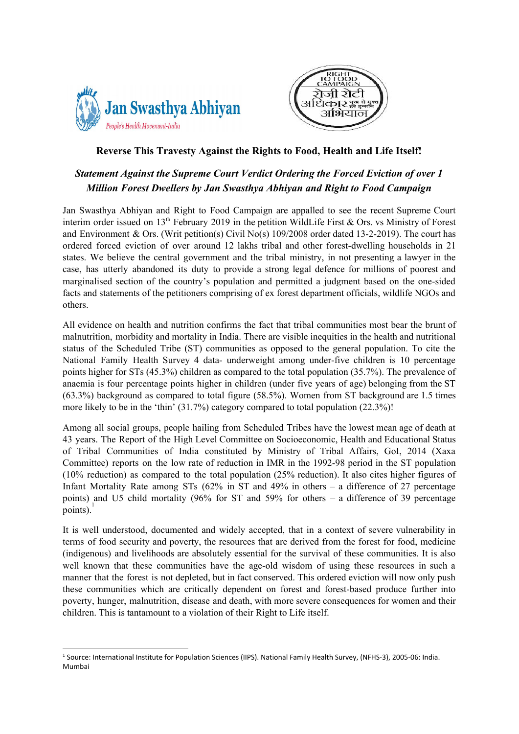



## **Reverse This Travesty Against the Rights to Food, Health and Life Itself!**

## *Statement Against the Supreme Court Verdict Ordering the Forced Eviction of over 1 Million Forest Dwellers by Jan Swasthya Abhiyan and Right to Food Campaign*

Jan Swasthya Abhiyan and Right to Food Campaign are appalled to see the recent Supreme Court interim order issued on  $13<sup>th</sup>$  February 2019 in the petition WildLife First & Ors. vs Ministry of Forest and Environment & Ors. (Writ petition(s) Civil No(s) 109/2008 order dated 13-2-2019). The court has ordered forced eviction of over around 12 lakhs tribal and other forest-dwelling households in 21 states. We believe the central government and the tribal ministry, in not presenting a lawyer in the case, has utterly abandoned its duty to provide a strong legal defence for millions of poorest and marginalised section of the country's population and permitted a judgment based on the one-sided facts and statements of the petitioners comprising of ex forest department officials, wildlife NGOs and others.

All evidence on health and nutrition confirms the fact that tribal communities most bear the brunt of malnutrition, morbidity and mortality in India. There are visible inequities in the health and nutritional status of the Scheduled Tribe (ST) communities as opposed to the general population. To cite the National Family Health Survey 4 data- underweight among under-five children is 10 percentage points higher for STs (45.3%) children as compared to the total population (35.7%). The prevalence of anaemia is four percentage points higher in children (under five years of age) belonging from the ST (63.3%) background as compared to total figure (58.5%). Women from ST background are 1.5 times more likely to be in the 'thin' (31.7%) category compared to total population (22.3%)!

Among all social groups, people hailing from Scheduled Tribes have the lowest mean age of death at 43 years. The Report of the High Level Committee on Socioeconomic, Health and Educational Status of Tribal Communities of India constituted by Ministry of Tribal Affairs, GoI, 2014 (Xaxa Committee) reports on the low rate of reduction in IMR in the 1992-98 period in the ST population (10% reduction) as compared to the total population (25% reduction). It also cites higher figures of Infant Mortality Rate among STs (62% in ST and 49% in others – a difference of 27 percentage points) and U5 child mortality (96% for ST and 59% for others – a difference of 39 percentage points).<sup>1</sup>

It is well understood, documented and widely accepted, that in a context of severe vulnerability in terms of food security and poverty, the resources that are derived from the forest for food, medicine (indigenous) and livelihoods are absolutely essential for the survival of these communities. It is also well known that these communities have the age-old wisdom of using these resources in such a manner that the forest is not depleted, but in fact conserved. This ordered eviction will now only push these communities which are critically dependent on forest and forest-based produce further into poverty, hunger, malnutrition, disease and death, with more severe consequences for women and their children. This is tantamount to a violation of their Right to Life itself.

<sup>&</sup>lt;sup>1</sup> Source: International Institute for Population Sciences (IIPS). National Family Health Survey, (NFHS-3), 2005-06: India. Mumbai